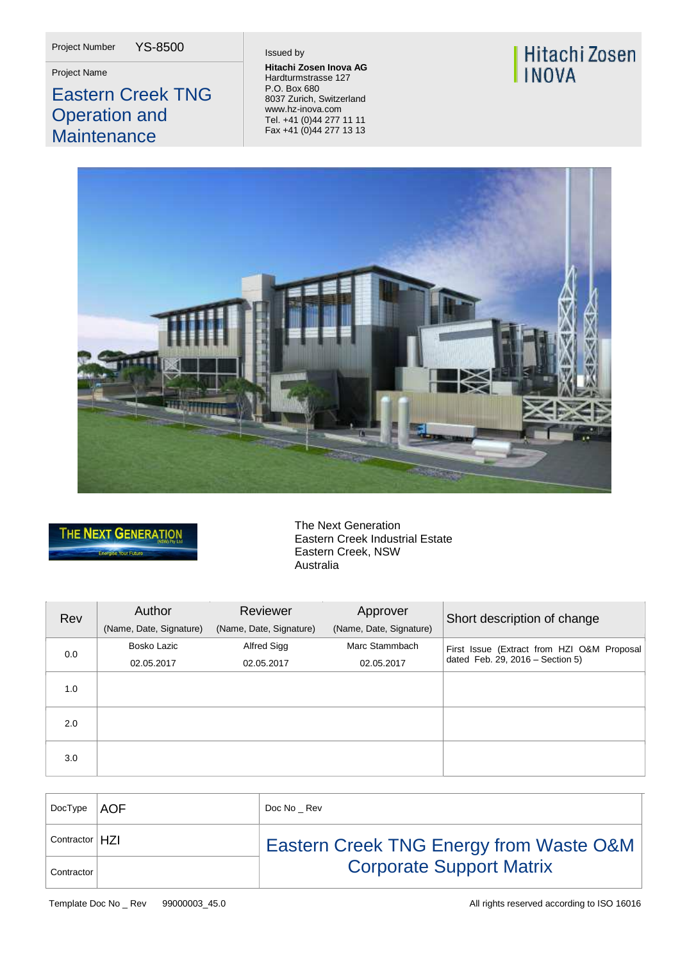Project Number YS-8500

# Eastern Creek TNG Operation and **Maintenance**

**Project Name Hitachi Zosen Inova AG**<br> **Hitachi Zosen Inova AG**<br>
Hordturmatrosos 127 Hardturmstrasse 127 P.O. Box 680 8037 Zurich, Switzerland [www.hz-inova.com](http://www.hz-inova.com/) Tel. +41 (0)44 277 11 11 Fax +41 (0)44 277 13 13

# Hitachi Zosen **INOVA**





The Next Generation Eastern Creek Industrial Estate Eastern Creek, NSW Australia

| Rev | Author<br>(Name, Date, Signature) | Reviewer<br>(Name, Date, Signature) | Approver<br>(Name, Date, Signature) | Short description of change                                                    |
|-----|-----------------------------------|-------------------------------------|-------------------------------------|--------------------------------------------------------------------------------|
| 0.0 | Bosko Lazic<br>02.05.2017         | Alfred Sigg<br>02.05.2017           | Marc Stammbach<br>02.05.2017        | First Issue (Extract from HZI O&M Proposal<br>dated Feb. 29, 2016 - Section 5) |
| 1.0 |                                   |                                     |                                     |                                                                                |
| 2.0 |                                   |                                     |                                     |                                                                                |
| 3.0 |                                   |                                     |                                     |                                                                                |

| DocType          | ∣AOF | Doc No Rev                                         |
|------------------|------|----------------------------------------------------|
| Contractor   H7I |      | <b>Eastern Creek TNG Energy from Waste O&amp;M</b> |
| Contractor       |      | <b>Corporate Support Matrix</b>                    |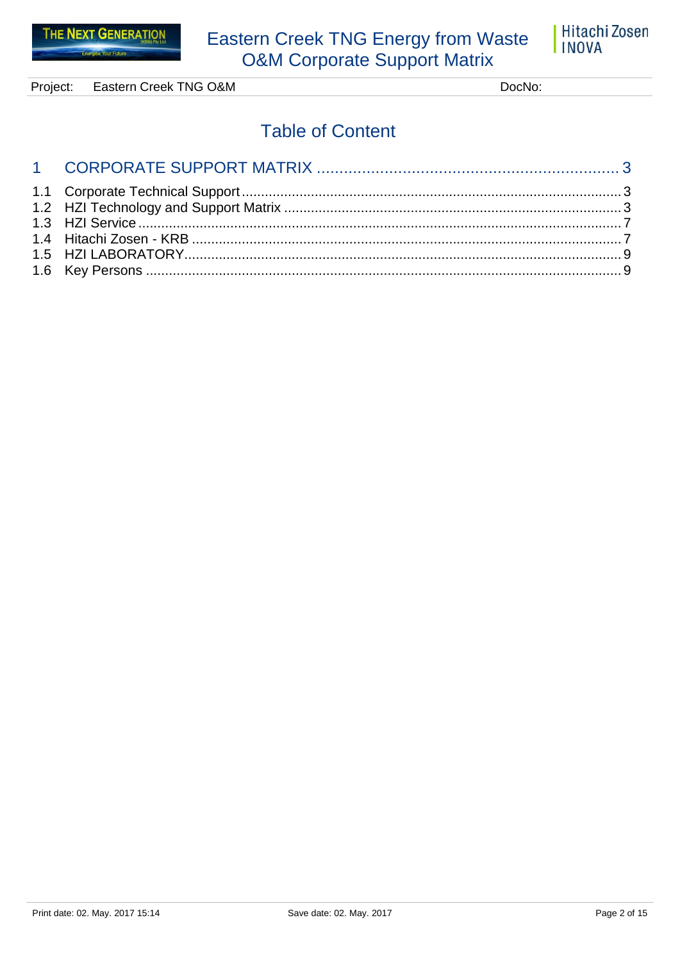

Project: Eastern Creek TNG O&M DocNo:

# **Table of Content**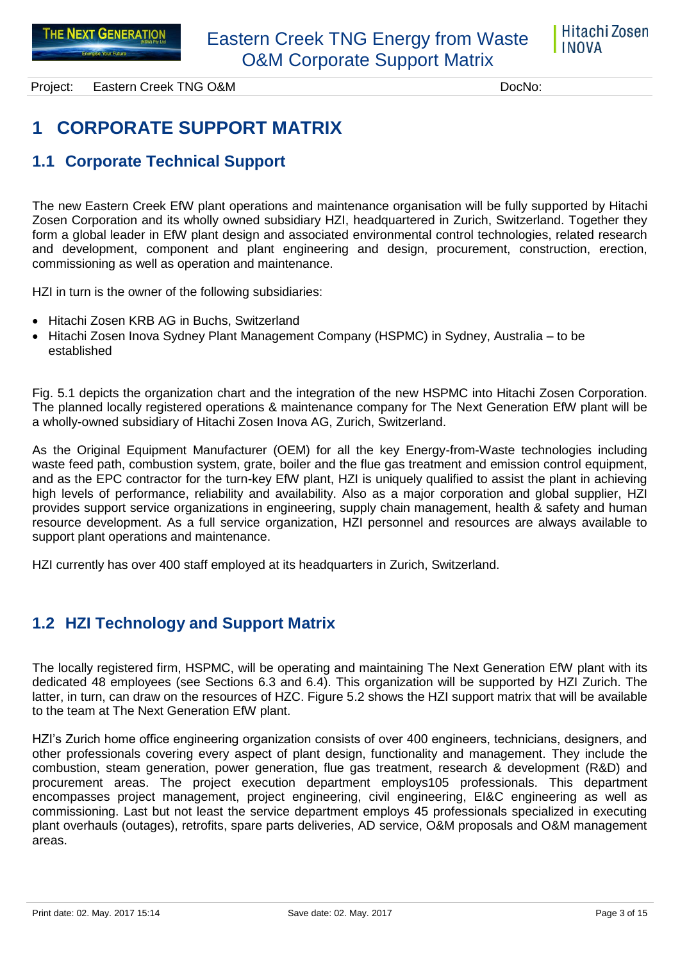

# <span id="page-2-0"></span>**1 CORPORATE SUPPORT MATRIX**

### <span id="page-2-1"></span>**1.1 Corporate Technical Support**

The new Eastern Creek EfW plant operations and maintenance organisation will be fully supported by Hitachi Zosen Corporation and its wholly owned subsidiary HZI, headquartered in Zurich, Switzerland. Together they form a global leader in EfW plant design and associated environmental control technologies, related research and development, component and plant engineering and design, procurement, construction, erection, commissioning as well as operation and maintenance.

HZI in turn is the owner of the following subsidiaries:

- Hitachi Zosen KRB AG in Buchs, Switzerland
- Hitachi Zosen Inova Sydney Plant Management Company (HSPMC) in Sydney, Australia to be established

Fig. 5.1 depicts the organization chart and the integration of the new HSPMC into Hitachi Zosen Corporation. The planned locally registered operations & maintenance company for The Next Generation EfW plant will be a wholly-owned subsidiary of Hitachi Zosen Inova AG, Zurich, Switzerland.

As the Original Equipment Manufacturer (OEM) for all the key Energy-from-Waste technologies including waste feed path, combustion system, grate, boiler and the flue gas treatment and emission control equipment, and as the EPC contractor for the turn-key EfW plant, HZI is uniquely qualified to assist the plant in achieving high levels of performance, reliability and availability. Also as a major corporation and global supplier, HZI provides support service organizations in engineering, supply chain management, health & safety and human resource development. As a full service organization, HZI personnel and resources are always available to support plant operations and maintenance.

HZI currently has over 400 staff employed at its headquarters in Zurich, Switzerland.

### <span id="page-2-2"></span>**1.2 HZI Technology and Support Matrix**

The locally registered firm, HSPMC, will be operating and maintaining The Next Generation EfW plant with its dedicated 48 employees (see Sections 6.3 and 6.4). This organization will be supported by HZI Zurich. The latter, in turn, can draw on the resources of HZC. Figure 5.2 shows the HZI support matrix that will be available to the team at The Next Generation EfW plant.

HZI's Zurich home office engineering organization consists of over 400 engineers, technicians, designers, and other professionals covering every aspect of plant design, functionality and management. They include the combustion, steam generation, power generation, flue gas treatment, research & development (R&D) and procurement areas. The project execution department employs105 professionals. This department encompasses project management, project engineering, civil engineering, EI&C engineering as well as commissioning. Last but not least the service department employs 45 professionals specialized in executing plant overhauls (outages), retrofits, spare parts deliveries, AD service, O&M proposals and O&M management areas.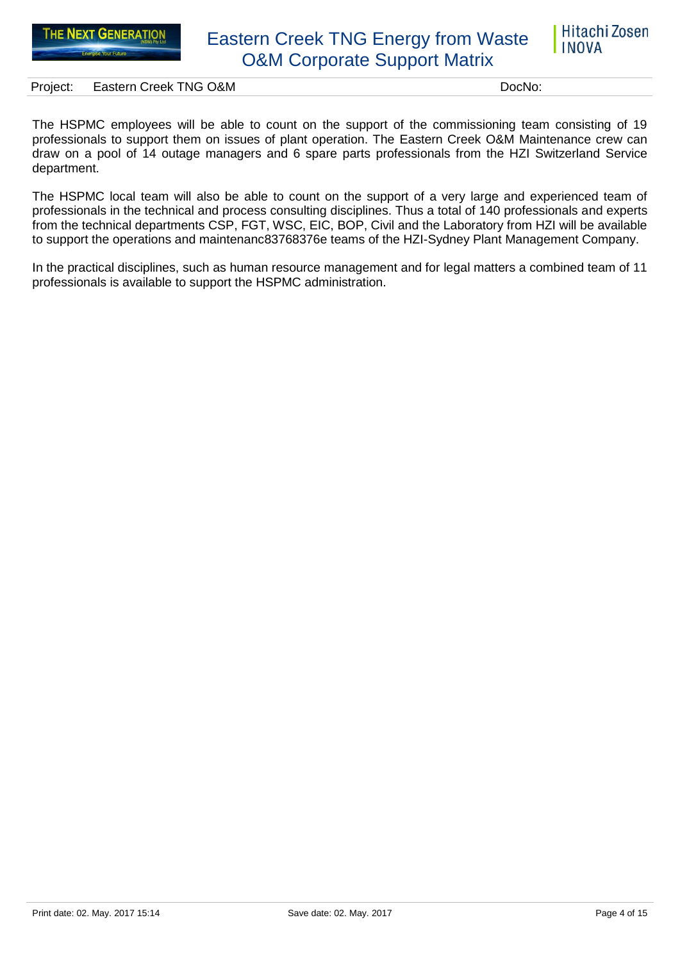

Project: Eastern Creek TNG O&M DocNo: DocNo:

The HSPMC employees will be able to count on the support of the commissioning team consisting of 19 professionals to support them on issues of plant operation. The Eastern Creek O&M Maintenance crew can draw on a pool of 14 outage managers and 6 spare parts professionals from the HZI Switzerland Service department.

The HSPMC local team will also be able to count on the support of a very large and experienced team of professionals in the technical and process consulting disciplines. Thus a total of 140 professionals and experts from the technical departments CSP, FGT, WSC, EIC, BOP, Civil and the Laboratory from HZI will be available to support the operations and maintenanc83768376e teams of the HZI-Sydney Plant Management Company.

In the practical disciplines, such as human resource management and for legal matters a combined team of 11 professionals is available to support the HSPMC administration.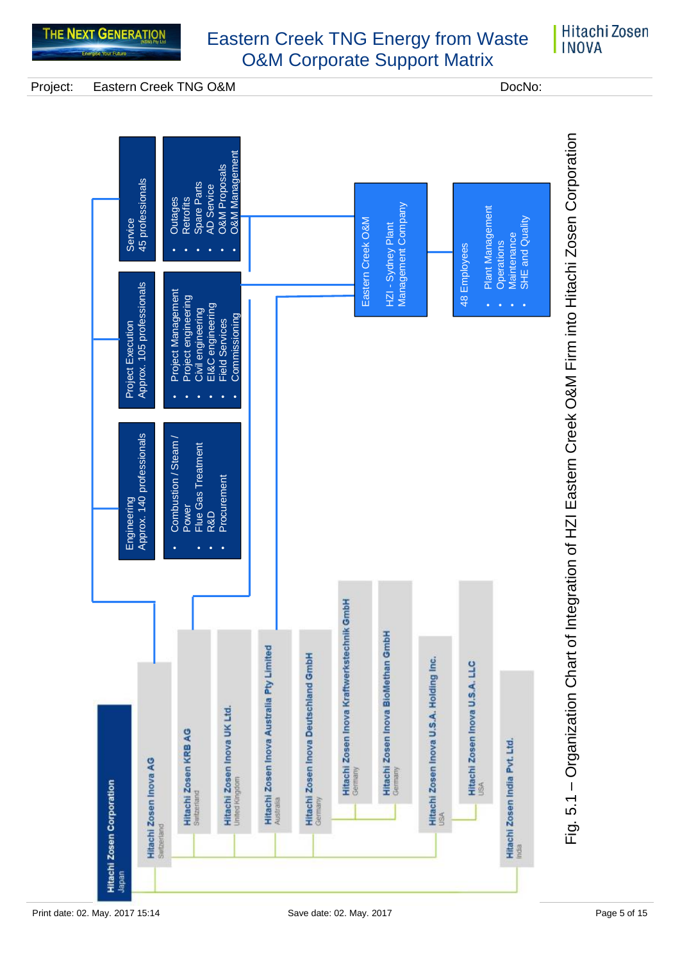### Hitachi Zosen **INOVA**

Project: Eastern Creek TNG O&M DocNo: DocNo:

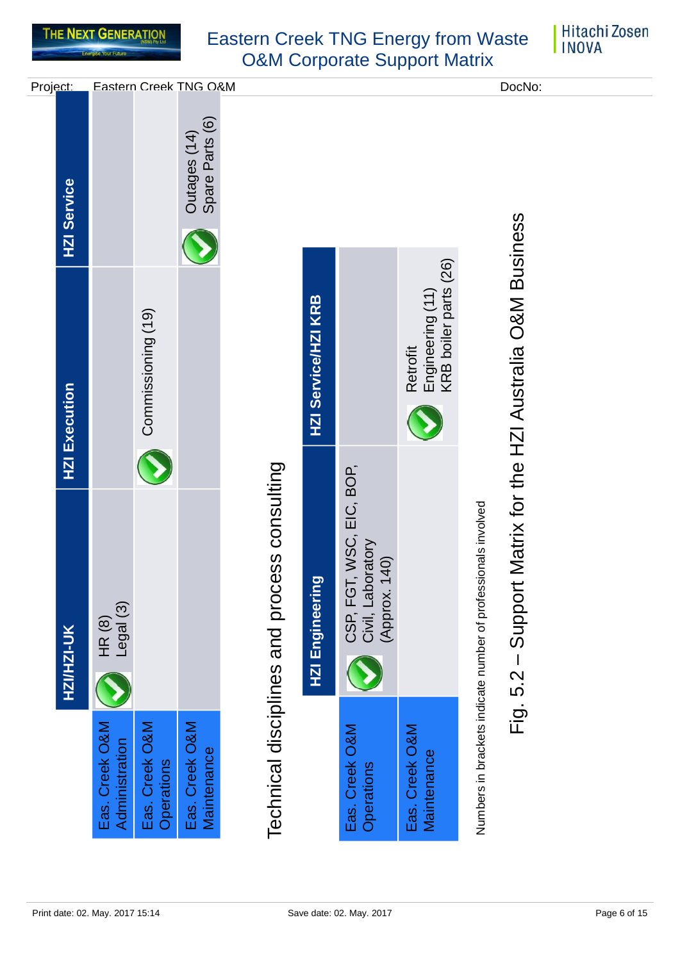

|                                  | HZI/HZI-UK                                                     | <b>HZI Execution</b>                                  | <b>HZI Service</b>              | Project:              |
|----------------------------------|----------------------------------------------------------------|-------------------------------------------------------|---------------------------------|-----------------------|
| Eas. Creek O&M<br>Administration | $HR(8)$<br>Legal $(3)$                                         |                                                       |                                 |                       |
| Eas. Creek O&M<br>Operations     |                                                                | Commissioning (19)                                    |                                 |                       |
| Eas. Creek O&M<br>Maintenance    |                                                                |                                                       | Spare Parts (6)<br>Outages (14) | Eastern Creek TNG O&M |
|                                  | Technical disciplines and process consulting                   |                                                       |                                 |                       |
|                                  | HZI Engineering                                                | HZI Service/HZI KRB                                   |                                 |                       |
| Eas. Creek O&M<br>Operations     | CSP, FGT, WSC, EIC, BOP,<br>Civil, Laboratory<br>(Approx. 140) |                                                       |                                 |                       |
| Eas. Creek O&M<br>Maintenance    |                                                                | KRB boiler parts (26)<br>Engineering (11)<br>Retrofit |                                 |                       |
|                                  | Numbers in brackets indicate number of professionals involved  |                                                       |                                 |                       |
|                                  | $Fig. 5.2 - Support$                                           | Matrix for the HZI Australia O&M Business             |                                 | DocNo:                |
|                                  |                                                                |                                                       |                                 |                       |
|                                  |                                                                |                                                       |                                 |                       |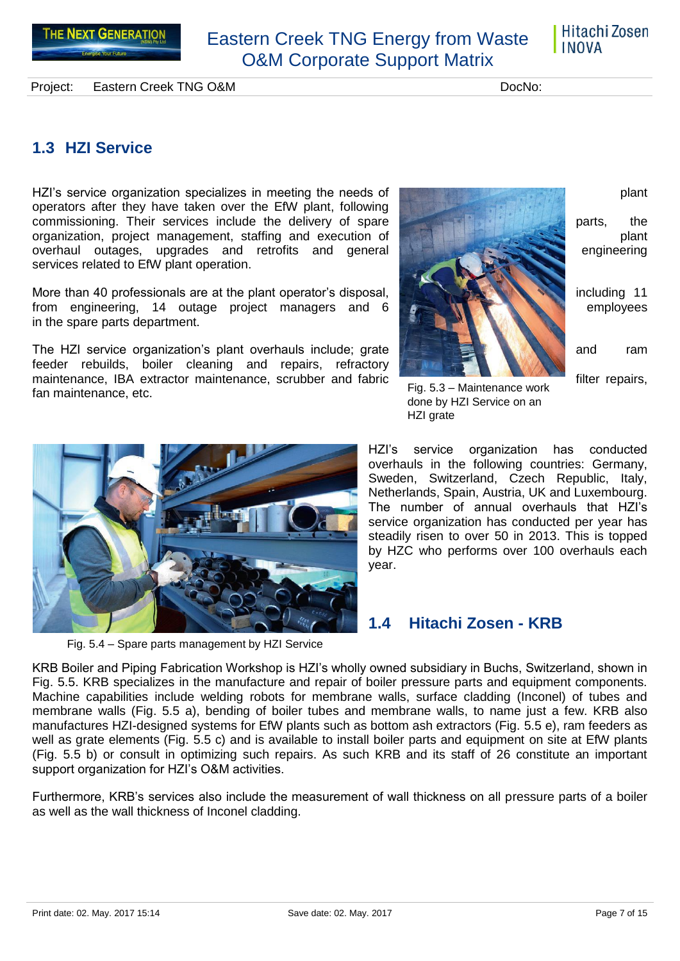Hitachi Zosen **INOVA** 

Project: Eastern Creek TNG O&M DocNo: DocNo:

### <span id="page-6-0"></span>**1.3 HZI Service**

HZI's service organization specializes in meeting the needs of plant plant plant operators after they have taken over the EfW plant, following commissioning. Their services include the delivery of spare parts, the parts, the organization, project management, staffing and execution of **plant and plant** plant overhaul outages, upgrades and retrofits and general engineering engineering services related to EfW plant operation.

More than 40 professionals are at the plant operator's disposal, **including 11** including 11 from engineering, 14 outage project managers and 6 **From Manual Constitution** employees in the spare parts department.

The HZI service organization's plant overhauls include; grate and ram feeder rebuilds, boiler cleaning and repairs, refractory maintenance, IBA extractor maintenance, scrubber and fabric filter repairs, filter repairs, fan maintenance, etc.





HZI grate<br>
MEZI grate<br>
Sweden, Switz<br>
Netherlands, Sp<br>
The number of service organization<br>
steading in the sweden, Switz<br>
Netherlands, Sp<br>
The number of service organization<br>
by HZC who prear.<br>
Year.<br>
The number of service

HZI's service organization has conducted overhauls in the following countries: Germany, Sweden, Switzerland, Czech Republic, Italy, Netherlands, Spain, Austria, UK and Luxembourg. The number of annual overhauls that HZI's service organization has conducted per year has steadily risen to over 50 in 2013. This is topped by HZC who performs over 100 overhauls each year.

## <span id="page-6-1"></span>**1.4 Hitachi Zosen - KRB**

KRB Boiler and Piping Fabrication Workshop is HZI's wholly owned subsidiary in Buchs, Switzerland, shown in Fig. 5.5. KRB specializes in the manufacture and repair of boiler pressure parts and equipment components. Machine capabilities include welding robots for membrane walls, surface cladding (Inconel) of tubes and membrane walls (Fig. 5.5 a), bending of boiler tubes and membrane walls, to name just a few. KRB also manufactures HZI-designed systems for EfW plants such as bottom ash extractors (Fig. 5.5 e), ram feeders as well as grate elements (Fig. 5.5 c) and is available to install boiler parts and equipment on site at EfW plants (Fig. 5.5 b) or consult in optimizing such repairs. As such KRB and its staff of 26 constitute an important support organization for HZI's O&M activities.

Furthermore, KRB's services also include the measurement of wall thickness on all pressure parts of a boiler as well as the wall thickness of Inconel cladding.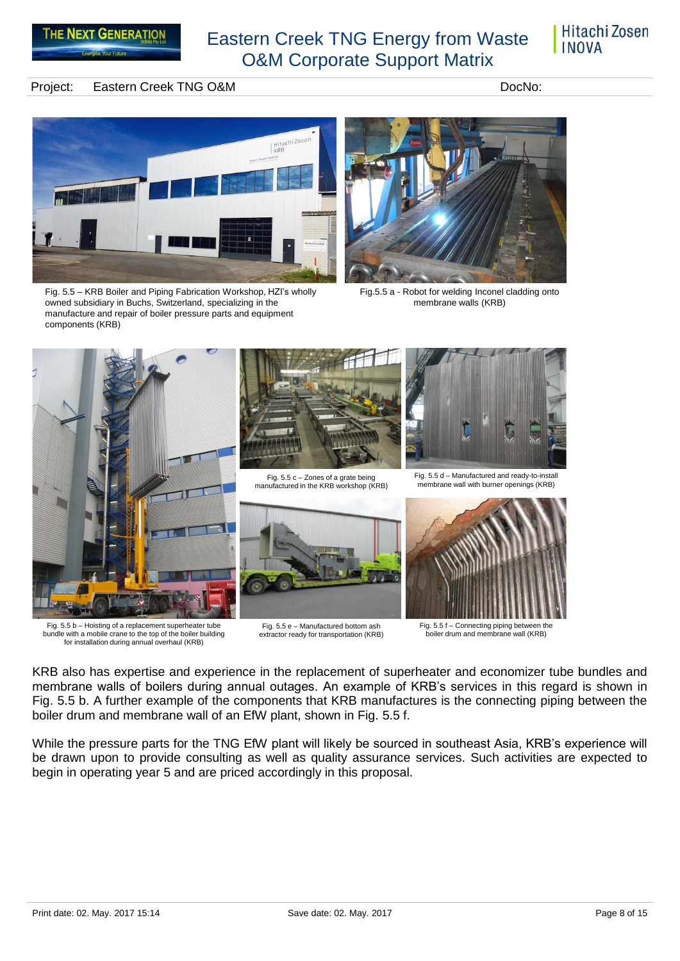### Hitachi Zosen **INOVA**

### Project: Eastern Creek TNG O&M DocNo: DocNo:



Fig. 5.5 – KRB Boiler and Piping Fabrication Workshop, HZI's wholly owned subsidiary in Buchs, Switzerland, specializing in the manufacture and repair of boiler pressure parts and equipment components (KRB)



Fig.5.5 a - Robot for welding Inconel cladding onto membrane walls (KRB)



Fig. 5.5 b – Hoisting of a replacement superheater tube bundle with a mobile crane to the top of the boiler building for installation during annual overhaul (KRB)

Fig. 5.5 e – Manufactured bottom ash extractor ready for transportation (KRB)

Fig. 5.5 f – Connecting piping between the

boiler drum and membrane wall (KRB)

KRB also has expertise and experience in the replacement of superheater and economizer tube bundles and membrane walls of boilers during annual outages. An example of KRB's services in this regard is shown in Fig. 5.5 b. A further example of the components that KRB manufactures is the connecting piping between the boiler drum and membrane wall of an EfW plant, shown in Fig. 5.5 f.

While the pressure parts for the TNG EfW plant will likely be sourced in southeast Asia, KRB's experience will be drawn upon to provide consulting as well as quality assurance services. Such activities are expected to begin in operating year 5 and are priced accordingly in this proposal.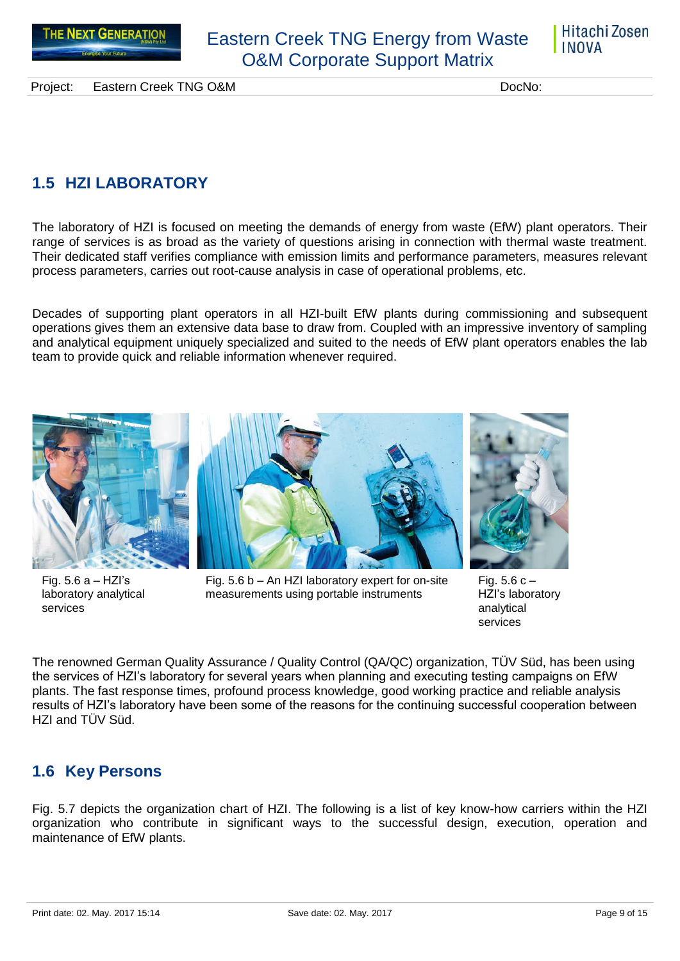



Project: Eastern Creek TNG O&M DocNo: DocNo:

## <span id="page-8-0"></span>**1.5 HZI LABORATORY**

The laboratory of HZI is focused on meeting the demands of energy from waste (EfW) plant operators. Their range of services is as broad as the variety of questions arising in connection with thermal waste treatment. Their dedicated staff verifies compliance with emission limits and performance parameters, measures relevant process parameters, carries out root-cause analysis in case of operational problems, etc.

Decades of supporting plant operators in all HZI-built EfW plants during commissioning and subsequent operations gives them an extensive data base to draw from. Coupled with an impressive inventory of sampling and analytical equipment uniquely specialized and suited to the needs of EfW plant operators enables the lab team to provide quick and reliable information whenever required.



Fig.  $5.6 a - HZI's$ laboratory analytical services



Fig. 5.6 b – An HZI laboratory expert for on-site measurements using portable instruments

Fig.  $5.6 c -$ 

HZI's laboratory analytical services

The renowned German Quality Assurance / Quality Control (QA/QC) organization, TÜV Süd, has been using the services of HZI's laboratory for several years when planning and executing testing campaigns on EfW plants. The fast response times, profound process knowledge, good working practice and reliable analysis results of HZI's laboratory have been some of the reasons for the continuing successful cooperation between HZI and TÜV Süd.

## <span id="page-8-1"></span>**1.6 Key Persons**

Fig. 5.7 depicts the organization chart of HZI. The following is a list of key know-how carriers within the HZI organization who contribute in significant ways to the successful design, execution, operation and maintenance of EfW plants.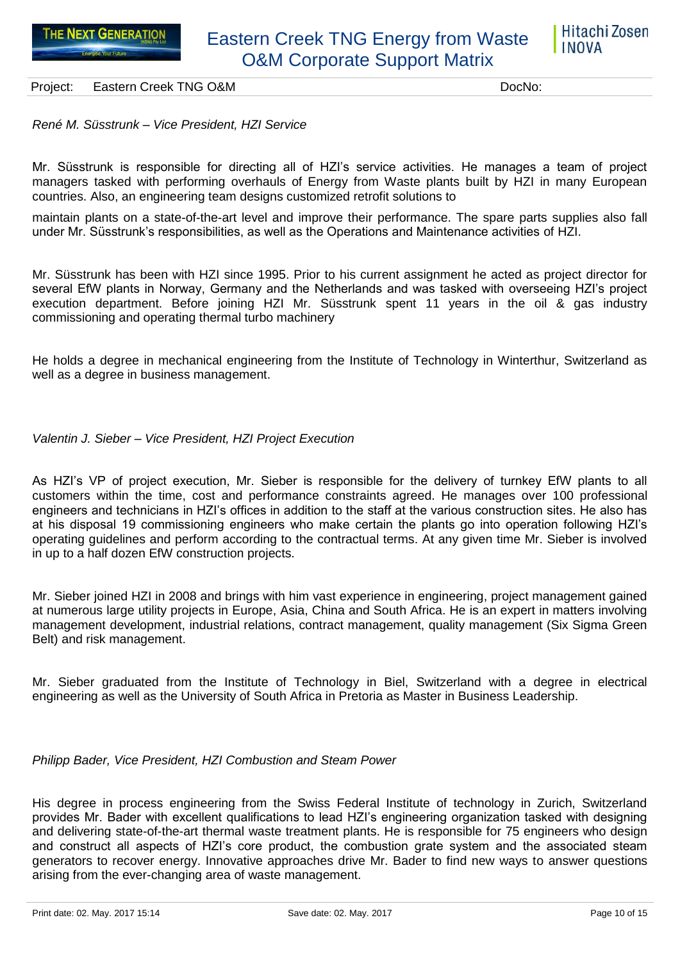

*René M. Süsstrunk – Vice President, HZI Service*

Mr. Süsstrunk is responsible for directing all of HZI's service activities. He manages a team of project managers tasked with performing overhauls of Energy from Waste plants built by HZI in many European countries. Also, an engineering team designs customized retrofit solutions to

maintain plants on a state-of-the-art level and improve their performance. The spare parts supplies also fall under Mr. Süsstrunk's responsibilities, as well as the Operations and Maintenance activities of HZI.

Mr. Süsstrunk has been with HZI since 1995. Prior to his current assignment he acted as project director for several EfW plants in Norway, Germany and the Netherlands and was tasked with overseeing HZI's project execution department. Before joining HZI Mr. Süsstrunk spent 11 years in the oil & gas industry commissioning and operating thermal turbo machinery

He holds a degree in mechanical engineering from the Institute of Technology in Winterthur, Switzerland as well as a degree in business management.

#### *Valentin J. Sieber – Vice President, HZI Project Execution*

As HZI's VP of project execution, Mr. Sieber is responsible for the delivery of turnkey EfW plants to all customers within the time, cost and performance constraints agreed. He manages over 100 professional engineers and technicians in HZI's offices in addition to the staff at the various construction sites. He also has at his disposal 19 commissioning engineers who make certain the plants go into operation following HZI's operating guidelines and perform according to the contractual terms. At any given time Mr. Sieber is involved in up to a half dozen EfW construction projects.

Mr. Sieber joined HZI in 2008 and brings with him vast experience in engineering, project management gained at numerous large utility projects in Europe, Asia, China and South Africa. He is an expert in matters involving management development, industrial relations, contract management, quality management (Six Sigma Green Belt) and risk management.

Mr. Sieber graduated from the Institute of Technology in Biel, Switzerland with a degree in electrical engineering as well as the University of South Africa in Pretoria as Master in Business Leadership.

#### *Philipp Bader, Vice President, HZI Combustion and Steam Power*

His degree in process engineering from the Swiss Federal Institute of technology in Zurich, Switzerland provides Mr. Bader with excellent qualifications to lead HZI's engineering organization tasked with designing and delivering state-of-the-art thermal waste treatment plants. He is responsible for 75 engineers who design and construct all aspects of HZI's core product, the combustion grate system and the associated steam generators to recover energy. Innovative approaches drive Mr. Bader to find new ways to answer questions arising from the ever-changing area of waste management.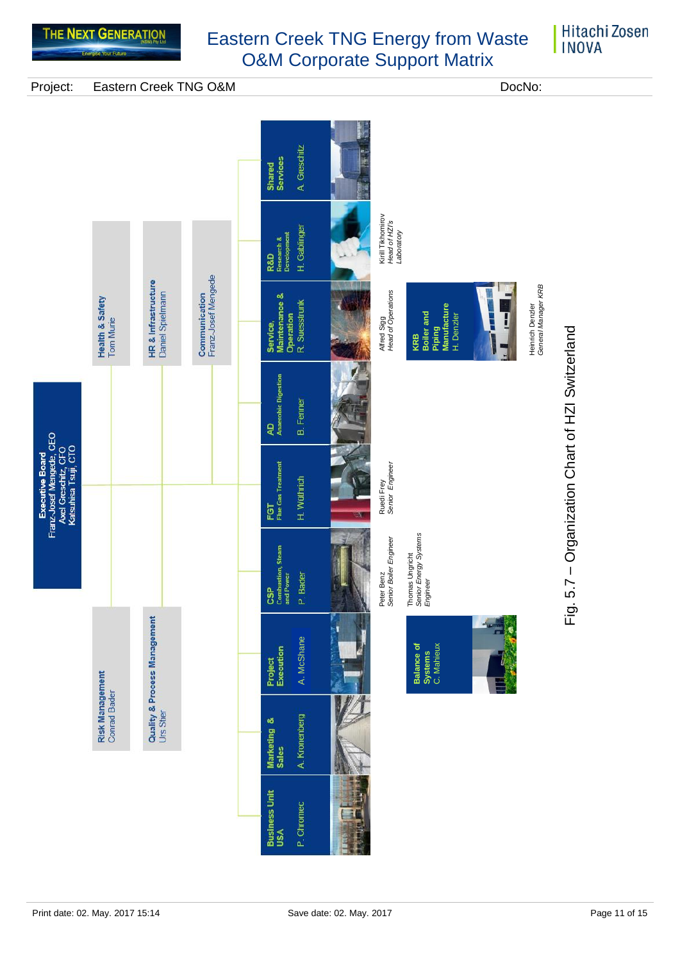

### **Hitachi Zosen INOVA**

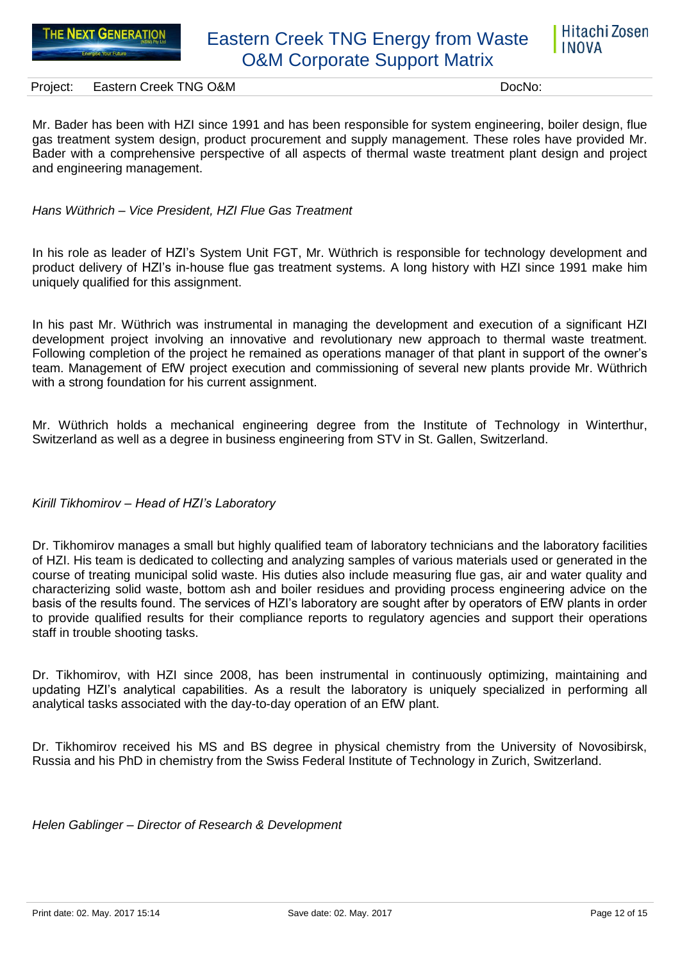

Mr. Bader has been with HZI since 1991 and has been responsible for system engineering, boiler design, flue gas treatment system design, product procurement and supply management. These roles have provided Mr. Bader with a comprehensive perspective of all aspects of thermal waste treatment plant design and project and engineering management.

*Hans Wüthrich – Vice President, HZI Flue Gas Treatment*

In his role as leader of HZI's System Unit FGT, Mr. Wüthrich is responsible for technology development and product delivery of HZI's in-house flue gas treatment systems. A long history with HZI since 1991 make him uniquely qualified for this assignment.

In his past Mr. Wüthrich was instrumental in managing the development and execution of a significant HZI development project involving an innovative and revolutionary new approach to thermal waste treatment. Following completion of the project he remained as operations manager of that plant in support of the owner's team. Management of EfW project execution and commissioning of several new plants provide Mr. Wüthrich with a strong foundation for his current assignment.

Mr. Wüthrich holds a mechanical engineering degree from the Institute of Technology in Winterthur, Switzerland as well as a degree in business engineering from STV in St. Gallen, Switzerland.

### *Kirill Tikhomirov – Head of HZI's Laboratory*

Dr. Tikhomirov manages a small but highly qualified team of laboratory technicians and the laboratory facilities of HZI. His team is dedicated to collecting and analyzing samples of various materials used or generated in the course of treating municipal solid waste. His duties also include measuring flue gas, air and water quality and characterizing solid waste, bottom ash and boiler residues and providing process engineering advice on the basis of the results found. The services of HZI's laboratory are sought after by operators of EfW plants in order to provide qualified results for their compliance reports to regulatory agencies and support their operations staff in trouble shooting tasks.

Dr. Tikhomirov, with HZI since 2008, has been instrumental in continuously optimizing, maintaining and updating HZI's analytical capabilities. As a result the laboratory is uniquely specialized in performing all analytical tasks associated with the day-to-day operation of an EfW plant.

Dr. Tikhomirov received his MS and BS degree in physical chemistry from the University of Novosibirsk, Russia and his PhD in chemistry from the Swiss Federal Institute of Technology in Zurich, Switzerland.

*Helen Gablinger – Director of Research & Development*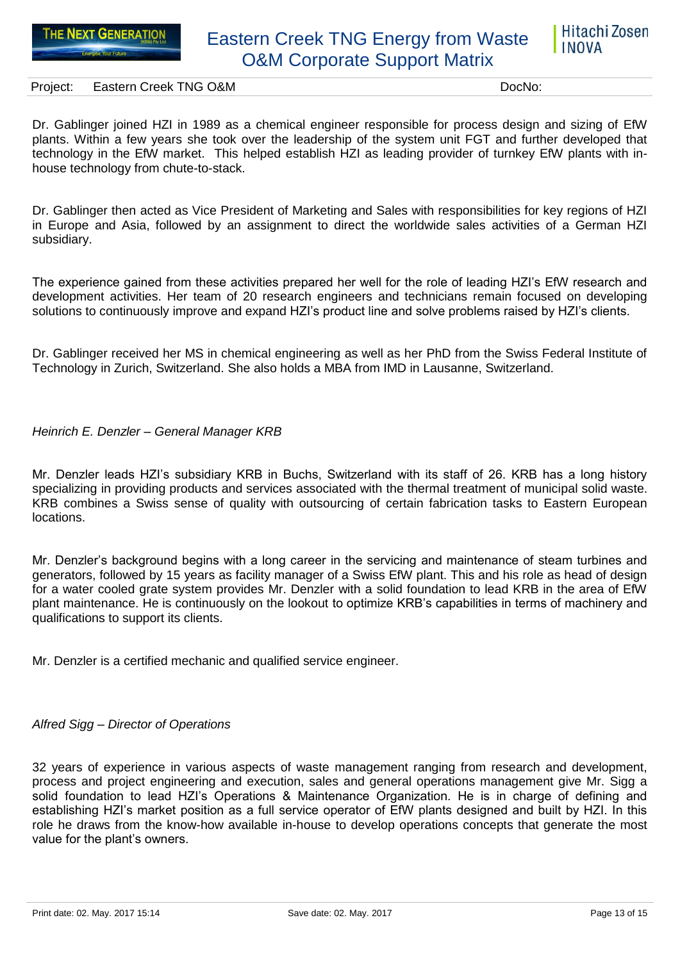

Project: Eastern Creek TNG O&M DocNo: DocNo:

Dr. Gablinger joined HZI in 1989 as a chemical engineer responsible for process design and sizing of EfW plants. Within a few years she took over the leadership of the system unit FGT and further developed that technology in the EfW market. This helped establish HZI as leading provider of turnkey EfW plants with inhouse technology from chute-to-stack.

Dr. Gablinger then acted as Vice President of Marketing and Sales with responsibilities for key regions of HZI in Europe and Asia, followed by an assignment to direct the worldwide sales activities of a German HZI subsidiary.

The experience gained from these activities prepared her well for the role of leading HZI's EfW research and development activities. Her team of 20 research engineers and technicians remain focused on developing solutions to continuously improve and expand HZI's product line and solve problems raised by HZI's clients.

Dr. Gablinger received her MS in chemical engineering as well as her PhD from the Swiss Federal Institute of Technology in Zurich, Switzerland. She also holds a MBA from IMD in Lausanne, Switzerland.

#### *Heinrich E. Denzler – General Manager KRB*

Mr. Denzler leads HZI's subsidiary KRB in Buchs, Switzerland with its staff of 26. KRB has a long history specializing in providing products and services associated with the thermal treatment of municipal solid waste. KRB combines a Swiss sense of quality with outsourcing of certain fabrication tasks to Eastern European locations.

Mr. Denzler's background begins with a long career in the servicing and maintenance of steam turbines and generators, followed by 15 years as facility manager of a Swiss EfW plant. This and his role as head of design for a water cooled grate system provides Mr. Denzler with a solid foundation to lead KRB in the area of EfW plant maintenance. He is continuously on the lookout to optimize KRB's capabilities in terms of machinery and qualifications to support its clients.

Mr. Denzler is a certified mechanic and qualified service engineer.

#### *Alfred Sigg – Director of Operations*

32 years of experience in various aspects of waste management ranging from research and development, process and project engineering and execution, sales and general operations management give Mr. Sigg a solid foundation to lead HZI's Operations & Maintenance Organization. He is in charge of defining and establishing HZI's market position as a full service operator of EfW plants designed and built by HZI. In this role he draws from the know-how available in-house to develop operations concepts that generate the most value for the plant's owners.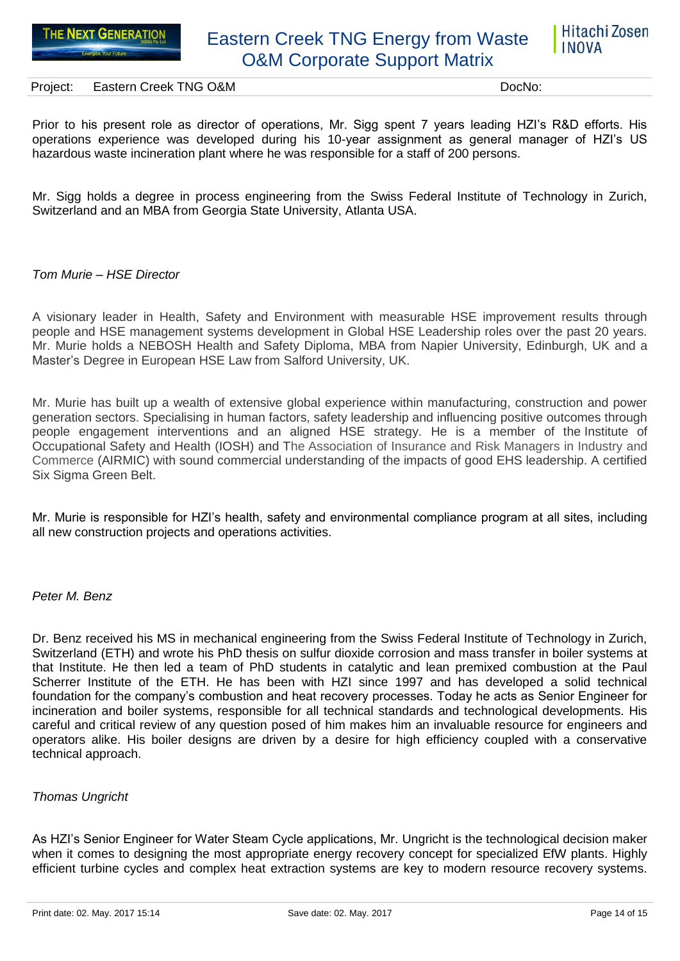

Prior to his present role as director of operations, Mr. Sigg spent 7 years leading HZI's R&D efforts. His operations experience was developed during his 10-year assignment as general manager of HZI's US hazardous waste incineration plant where he was responsible for a staff of 200 persons.

Mr. Sigg holds a degree in process engineering from the Swiss Federal Institute of Technology in Zurich, Switzerland and an MBA from Georgia State University, Atlanta USA.

### *Tom Murie – HSE Director*

A visionary leader in Health, Safety and Environment with measurable HSE improvement results through people and HSE management systems development in Global HSE Leadership roles over the past 20 years. Mr. Murie holds a NEBOSH Health and Safety Diploma, MBA from Napier University, Edinburgh, UK and a Master's Degree in European HSE Law from Salford University, UK.

Mr. Murie has built up a wealth of extensive global experience within manufacturing, construction and power generation sectors. Specialising in human factors, safety leadership and influencing positive outcomes through people engagement interventions and an aligned HSE strategy. He is a member of the Institute of Occupational Safety and Health (IOSH) and The Association of Insurance and Risk Managers in Industry and Commerce (AIRMIC) with sound commercial understanding of the impacts of good EHS leadership. A certified Six Sigma Green Belt.

Mr. Murie is responsible for HZI's health, safety and environmental compliance program at all sites, including all new construction projects and operations activities.

#### *Peter M. Benz*

Dr. Benz received his MS in mechanical engineering from the Swiss Federal Institute of Technology in Zurich, Switzerland (ETH) and wrote his PhD thesis on sulfur dioxide corrosion and mass transfer in boiler systems at that Institute. He then led a team of PhD students in catalytic and lean premixed combustion at the Paul Scherrer Institute of the ETH. He has been with HZI since 1997 and has developed a solid technical foundation for the company's combustion and heat recovery processes. Today he acts as Senior Engineer for incineration and boiler systems, responsible for all technical standards and technological developments. His careful and critical review of any question posed of him makes him an invaluable resource for engineers and operators alike. His boiler designs are driven by a desire for high efficiency coupled with a conservative technical approach.

#### *Thomas Ungricht*

As HZI's Senior Engineer for Water Steam Cycle applications, Mr. Ungricht is the technological decision maker when it comes to designing the most appropriate energy recovery concept for specialized EfW plants. Highly efficient turbine cycles and complex heat extraction systems are key to modern resource recovery systems.